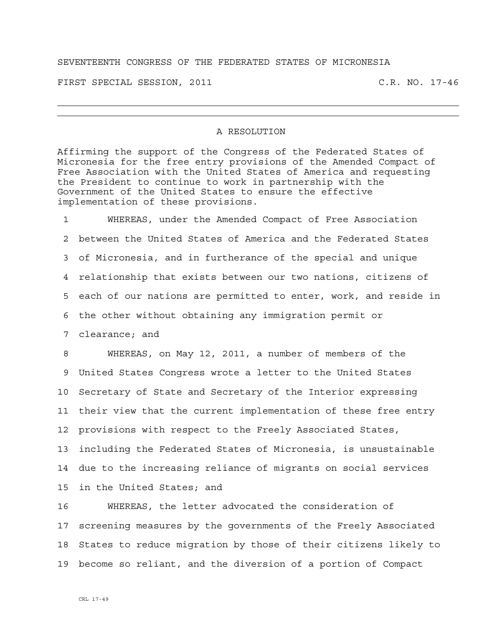## SEVENTEENTH CONGRESS OF THE FEDERATED STATES OF MICRONESIA

FIRST SPECIAL SESSION, 2011 C.R. NO. 17-46

## A RESOLUTION

Affirming the support of the Congress of the Federated States of Micronesia for the free entry provisions of the Amended Compact of Free Association with the United States of America and requesting the President to continue to work in partnership with the Government of the United States to ensure the effective implementation of these provisions.

1 WHEREAS, under the Amended Compact of Free Association 2 between the United States of America and the Federated States 3 of Micronesia, and in furtherance of the special and unique 4 relationship that exists between our two nations, citizens of 5 each of our nations are permitted to enter, work, and reside in 6 the other without obtaining any immigration permit or 7 clearance; and

8 WHEREAS, on May 12, 2011, a number of members of the 9 United States Congress wrote a letter to the United States 10 Secretary of State and Secretary of the Interior expressing 11 their view that the current implementation of these free entry 12 provisions with respect to the Freely Associated States, 13 including the Federated States of Micronesia, is unsustainable 14 due to the increasing reliance of migrants on social services 15 in the United States; and

16 WHEREAS, the letter advocated the consideration of 17 screening measures by the governments of the Freely Associated 18 States to reduce migration by those of their citizens likely to 19 become so reliant, and the diversion of a portion of Compact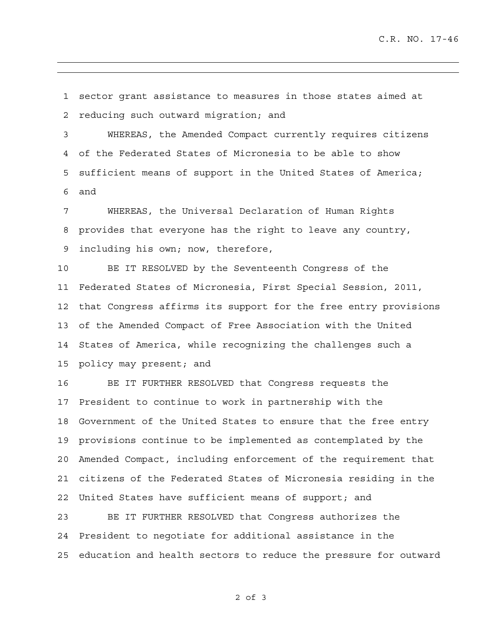1 sector grant assistance to measures in those states aimed at 2 reducing such outward migration; and

3 WHEREAS, the Amended Compact currently requires citizens 4 of the Federated States of Micronesia to be able to show 5 sufficient means of support in the United States of America; 6 and

7 WHEREAS, the Universal Declaration of Human Rights 8 provides that everyone has the right to leave any country, 9 including his own; now, therefore,

10 BE IT RESOLVED by the Seventeenth Congress of the 11 Federated States of Micronesia, First Special Session, 2011, 12 that Congress affirms its support for the free entry provisions 13 of the Amended Compact of Free Association with the United 14 States of America, while recognizing the challenges such a 15 policy may present; and

16 BE IT FURTHER RESOLVED that Congress requests the 17 President to continue to work in partnership with the 18 Government of the United States to ensure that the free entry 19 provisions continue to be implemented as contemplated by the 20 Amended Compact, including enforcement of the requirement that 21 citizens of the Federated States of Micronesia residing in the 22 United States have sufficient means of support; and

23 BE IT FURTHER RESOLVED that Congress authorizes the 24 President to negotiate for additional assistance in the 25 education and health sectors to reduce the pressure for outward